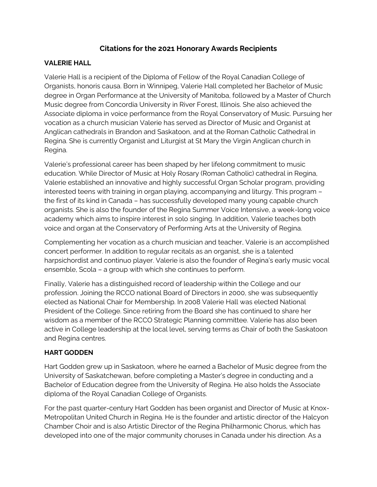## **Citations for the 2021 Honorary Awards Recipients**

#### **VALERIE HALL**

Valerie Hall is a recipient of the Diploma of Fellow of the Royal Canadian College of Organists, honoris causa. Born in Winnipeg, Valerie Hall completed her Bachelor of Music degree in Organ Performance at the University of Manitoba, followed by a Master of Church Music degree from Concordia University in River Forest, Illinois. She also achieved the Associate diploma in voice performance from the Royal Conservatory of Music. Pursuing her vocation as a church musician Valerie has served as Director of Music and Organist at Anglican cathedrals in Brandon and Saskatoon, and at the Roman Catholic Cathedral in Regina. She is currently Organist and Liturgist at St Mary the Virgin Anglican church in Regina.

Valerie's professional career has been shaped by her lifelong commitment to music education. While Director of Music at Holy Rosary (Roman Catholic) cathedral in Regina, Valerie established an innovative and highly successful Organ Scholar program, providing interested teens with training in organ playing, accompanying and liturgy. This program – the first of its kind in Canada – has successfully developed many young capable church organists. She is also the founder of the Regina Summer Voice Intensive, a week-long voice academy which aims to inspire interest in solo singing. In addition, Valerie teaches both voice and organ at the Conservatory of Performing Arts at the University of Regina.

Complementing her vocation as a church musician and teacher, Valerie is an accomplished concert performer. In addition to regular recitals as an organist, she is a talented harpsichordist and continuo player. Valerie is also the founder of Regina's early music vocal ensemble, Scola – a group with which she continues to perform.

Finally, Valerie has a distinguished record of leadership within the College and our profession. Joining the RCCO national Board of Directors in 2000, she was subsequently elected as National Chair for Membership. In 2008 Valerie Hall was elected National President of the College. Since retiring from the Board she has continued to share her wisdom as a member of the RCCO Strategic Planning committee. Valerie has also been active in College leadership at the local level, serving terms as Chair of both the Saskatoon and Regina centres.

### **HART GODDEN**

Hart Godden grew up in Saskatoon, where he earned a Bachelor of Music degree from the University of Saskatchewan, before completing a Master's degree in conducting and a Bachelor of Education degree from the University of Regina. He also holds the Associate diploma of the Royal Canadian College of Organists.

For the past quarter-century Hart Godden has been organist and Director of Music at Knox-Metropolitan United Church in Regina. He is the founder and artistic director of the Halcyon Chamber Choir and is also Artistic Director of the Regina Philharmonic Chorus, which has developed into one of the major community choruses in Canada under his direction. As a